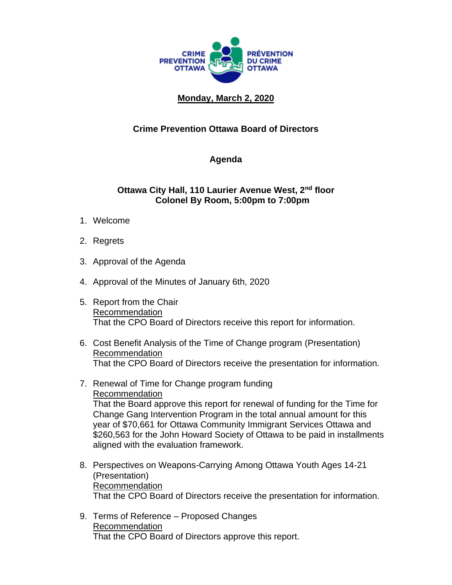

## **Monday, March 2, 2020**

## **Crime Prevention Ottawa Board of Directors**

## **Agenda**

## **Ottawa City Hall, 110 Laurier Avenue West, 2nd floor Colonel By Room, 5:00pm to 7:00pm**

- 1. Welcome
- 2. Regrets
- 3. Approval of the Agenda
- 4. Approval of the Minutes of January 6th, 2020
- 5. Report from the Chair Recommendation That the CPO Board of Directors receive this report for information.
- 6. Cost Benefit Analysis of the Time of Change program (Presentation) Recommendation That the CPO Board of Directors receive the presentation for information.
- 7. Renewal of Time for Change program funding Recommendation That the Board approve this report for renewal of funding for the Time for Change Gang Intervention Program in the total annual amount for this year of \$70,661 for Ottawa Community Immigrant Services Ottawa and \$260,563 for the John Howard Society of Ottawa to be paid in installments aligned with the evaluation framework.
- 8. Perspectives on Weapons-Carrying Among Ottawa Youth Ages 14-21 (Presentation) Recommendation That the CPO Board of Directors receive the presentation for information.
- 9. Terms of Reference Proposed Changes Recommendation That the CPO Board of Directors approve this report.